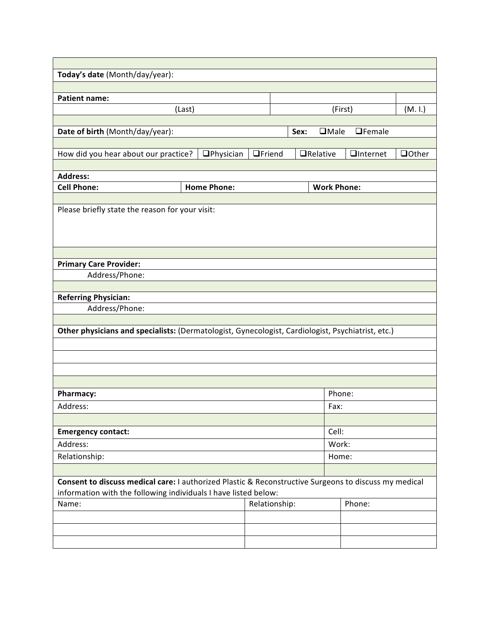| Today's date (Month/day/year):                                                                        |                |  |                     |                    |                |  |
|-------------------------------------------------------------------------------------------------------|----------------|--|---------------------|--------------------|----------------|--|
|                                                                                                       |                |  |                     |                    |                |  |
| <b>Patient name:</b>                                                                                  |                |  |                     |                    |                |  |
| (Last)                                                                                                |                |  |                     | (First)            | (M. 1.)        |  |
|                                                                                                       |                |  |                     |                    |                |  |
| Date of birth (Month/day/year):                                                                       |                |  | $\Box$ Male<br>Sex: | $\Box$ Female      |                |  |
|                                                                                                       |                |  |                     |                    |                |  |
| How did you hear about our practice?<br><b>O</b> Physician                                            | <b>OFriend</b> |  | $\Box$ Relative     | <b>Q</b> Internet  | <b>Q</b> Other |  |
|                                                                                                       |                |  |                     |                    |                |  |
| <b>Address:</b>                                                                                       |                |  |                     |                    |                |  |
| <b>Home Phone:</b><br><b>Cell Phone:</b>                                                              |                |  |                     | <b>Work Phone:</b> |                |  |
|                                                                                                       |                |  |                     |                    |                |  |
| Please briefly state the reason for your visit:                                                       |                |  |                     |                    |                |  |
|                                                                                                       |                |  |                     |                    |                |  |
|                                                                                                       |                |  |                     |                    |                |  |
|                                                                                                       |                |  |                     |                    |                |  |
| <b>Primary Care Provider:</b>                                                                         |                |  |                     |                    |                |  |
| Address/Phone:                                                                                        |                |  |                     |                    |                |  |
|                                                                                                       |                |  |                     |                    |                |  |
| <b>Referring Physician:</b>                                                                           |                |  |                     |                    |                |  |
| Address/Phone:                                                                                        |                |  |                     |                    |                |  |
|                                                                                                       |                |  |                     |                    |                |  |
| Other physicians and specialists: (Dermatologist, Gynecologist, Cardiologist, Psychiatrist, etc.)     |                |  |                     |                    |                |  |
|                                                                                                       |                |  |                     |                    |                |  |
|                                                                                                       |                |  |                     |                    |                |  |
|                                                                                                       |                |  |                     |                    |                |  |
|                                                                                                       |                |  |                     |                    |                |  |
|                                                                                                       |                |  |                     |                    |                |  |
| Pharmacy:                                                                                             |                |  |                     | Phone:             |                |  |
| Address:                                                                                              |                |  |                     | Fax:               |                |  |
|                                                                                                       |                |  |                     |                    |                |  |
| <b>Emergency contact:</b>                                                                             |                |  |                     | Cell:              |                |  |
| Address:                                                                                              |                |  |                     | Work:              |                |  |
| Relationship:                                                                                         |                |  |                     | Home:              |                |  |
|                                                                                                       |                |  |                     |                    |                |  |
| Consent to discuss medical care: I authorized Plastic & Reconstructive Surgeons to discuss my medical |                |  |                     |                    |                |  |
| information with the following individuals I have listed below:                                       |                |  |                     |                    |                |  |
| Name:                                                                                                 | Relationship:  |  |                     | Phone:             |                |  |
|                                                                                                       |                |  |                     |                    |                |  |
|                                                                                                       |                |  |                     |                    |                |  |
|                                                                                                       |                |  |                     |                    |                |  |
|                                                                                                       |                |  |                     |                    |                |  |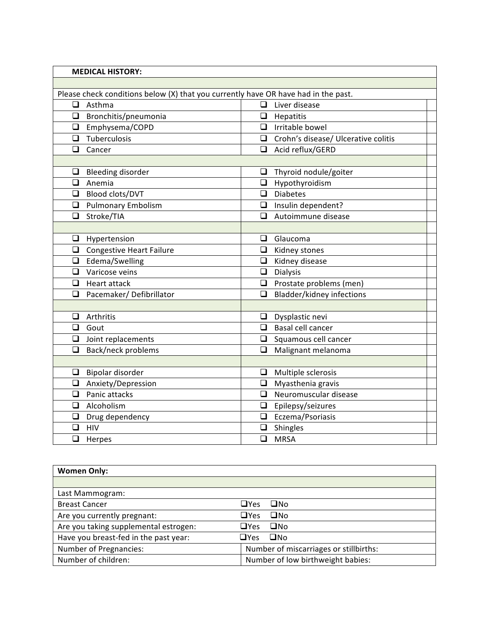| <b>MEDICAL HISTORY:</b>       |                                                                                    |  |  |  |  |  |
|-------------------------------|------------------------------------------------------------------------------------|--|--|--|--|--|
|                               |                                                                                    |  |  |  |  |  |
|                               | Please check conditions below (X) that you currently have OR have had in the past. |  |  |  |  |  |
| Asthma<br>⊔                   | Liver disease<br>□                                                                 |  |  |  |  |  |
| $\Box$ Bronchitis/pneumonia   | $\Box$ Hepatitis                                                                   |  |  |  |  |  |
| □ Emphysema/COPD              | $\Box$ Irritable bowel                                                             |  |  |  |  |  |
| $\Box$ Tuberculosis           | $\Box$ Crohn's disease/ Ulcerative colitis                                         |  |  |  |  |  |
| ❏<br>Cancer                   | Acid reflux/GERD                                                                   |  |  |  |  |  |
|                               |                                                                                    |  |  |  |  |  |
| <b>Bleeding disorder</b><br>❏ | Thyroid nodule/goiter<br>❏                                                         |  |  |  |  |  |
| Anemia<br>◻                   | $\Box$ Hypothyroidism                                                              |  |  |  |  |  |
| Blood clots/DVT               | $\Box$ Diabetes                                                                    |  |  |  |  |  |
| <b>Q</b> Pulmonary Embolism   | $\Box$ Insulin dependent?                                                          |  |  |  |  |  |
| $\Box$<br>Stroke/TIA          | □<br>Autoimmune disease                                                            |  |  |  |  |  |
|                               |                                                                                    |  |  |  |  |  |
| ❏<br>Hypertension             | Glaucoma<br>❏                                                                      |  |  |  |  |  |
| Congestive Heart Failure      | $\Box$ Kidney stones                                                               |  |  |  |  |  |
| $\Box$ Edema/Swelling         | $\Box$ Kidney disease                                                              |  |  |  |  |  |
| $\Box$ Varicose veins         | $\Box$ Dialysis                                                                    |  |  |  |  |  |
| ❏<br>Heart attack             | $\Box$ Prostate problems (men)                                                     |  |  |  |  |  |
| Pacemaker/Defibrillator<br>❏  | <b>Bladder/kidney infections</b><br>❏                                              |  |  |  |  |  |
|                               |                                                                                    |  |  |  |  |  |
| Arthritis<br>◻                | $\Box$ Dysplastic nevi                                                             |  |  |  |  |  |
| ❏<br>Gout                     | $\Box$ Basal cell cancer                                                           |  |  |  |  |  |
| $\Box$ Joint replacements     | $\Box$ Squamous cell cancer                                                        |  |  |  |  |  |
| Back/neck problems<br>❏       | Malignant melanoma<br>⊔                                                            |  |  |  |  |  |
|                               |                                                                                    |  |  |  |  |  |
| Bipolar disorder<br>❏         | $\Box$ Multiple sclerosis                                                          |  |  |  |  |  |
| Anxiety/Depression<br>❏       | Myasthenia gravis<br>$\Box$                                                        |  |  |  |  |  |
| $\Box$ Panic attacks          | $\Box$ Neuromuscular disease                                                       |  |  |  |  |  |
| Alcoholism<br>◻               | $\Box$ Epilepsy/seizures                                                           |  |  |  |  |  |
| Drug dependency<br>❏          | Eczema/Psoriasis<br>❏                                                              |  |  |  |  |  |
| ❏<br><b>HIV</b>               | $\Box$ Shingles                                                                    |  |  |  |  |  |
| ❏<br>Herpes                   | $\Box$<br><b>MRSA</b>                                                              |  |  |  |  |  |

| <b>Women Only:</b>                    |                                        |
|---------------------------------------|----------------------------------------|
|                                       |                                        |
| Last Mammogram:                       |                                        |
| <b>Breast Cancer</b>                  | $\Box$ Yes<br>$\square$ No             |
| Are you currently pregnant:           | $\Box$ Yes<br>$\square$ No             |
| Are you taking supplemental estrogen: | $\square$ No<br>$\Box$ Yes             |
| Have you breast-fed in the past year: | $\square$ No<br>$\Box$ Yes             |
| <b>Number of Pregnancies:</b>         | Number of miscarriages or stillbirths: |
| Number of children:                   | Number of low birthweight babies:      |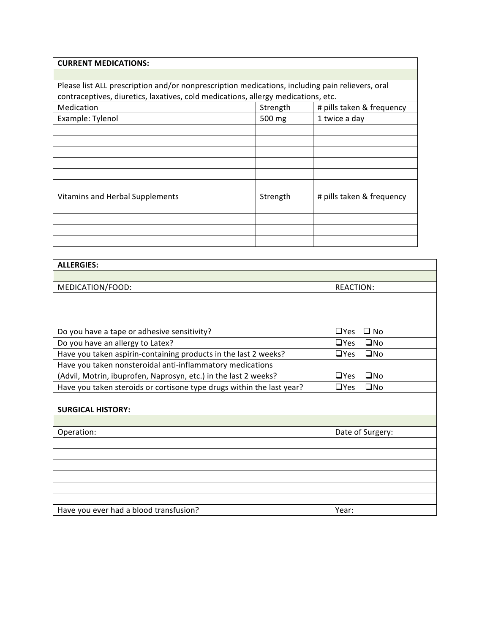| <b>CURRENT MEDICATIONS:</b>                                                                     |                                       |                           |  |  |  |  |
|-------------------------------------------------------------------------------------------------|---------------------------------------|---------------------------|--|--|--|--|
|                                                                                                 |                                       |                           |  |  |  |  |
| Please list ALL prescription and/or nonprescription medications, including pain relievers, oral |                                       |                           |  |  |  |  |
| contraceptives, diuretics, laxatives, cold medications, allergy medications, etc.               |                                       |                           |  |  |  |  |
| Medication                                                                                      | Strength<br># pills taken & frequency |                           |  |  |  |  |
| Example: Tylenol                                                                                | 500 mg                                | 1 twice a day             |  |  |  |  |
|                                                                                                 |                                       |                           |  |  |  |  |
|                                                                                                 |                                       |                           |  |  |  |  |
|                                                                                                 |                                       |                           |  |  |  |  |
|                                                                                                 |                                       |                           |  |  |  |  |
|                                                                                                 |                                       |                           |  |  |  |  |
|                                                                                                 |                                       |                           |  |  |  |  |
| <b>Vitamins and Herbal Supplements</b>                                                          | Strength                              | # pills taken & frequency |  |  |  |  |
|                                                                                                 |                                       |                           |  |  |  |  |
|                                                                                                 |                                       |                           |  |  |  |  |
|                                                                                                 |                                       |                           |  |  |  |  |
|                                                                                                 |                                       |                           |  |  |  |  |

| <b>ALLERGIES:</b>                                                     |                            |
|-----------------------------------------------------------------------|----------------------------|
|                                                                       |                            |
| MEDICATION/FOOD:                                                      | <b>REACTION:</b>           |
|                                                                       |                            |
|                                                                       |                            |
|                                                                       |                            |
| Do you have a tape or adhesive sensitivity?                           | $\Box$ Yes<br>$\square$ No |
| Do you have an allergy to Latex?                                      | $\Box$ Yes<br>$\square$ No |
| Have you taken aspirin-containing products in the last 2 weeks?       | $\Box$ Yes<br>$\square$ No |
| Have you taken nonsteroidal anti-inflammatory medications             |                            |
| (Advil, Motrin, ibuprofen, Naprosyn, etc.) in the last 2 weeks?       | $\Box$ Yes<br>$\square$ No |
| Have you taken steroids or cortisone type drugs within the last year? | $\Box$ No<br>$\Box$ Yes    |
|                                                                       |                            |
| <b>SURGICAL HISTORY:</b>                                              |                            |
|                                                                       |                            |
| Operation:                                                            | Date of Surgery:           |
|                                                                       |                            |
|                                                                       |                            |
|                                                                       |                            |
|                                                                       |                            |
|                                                                       |                            |
|                                                                       |                            |
| Have you ever had a blood transfusion?                                | Year:                      |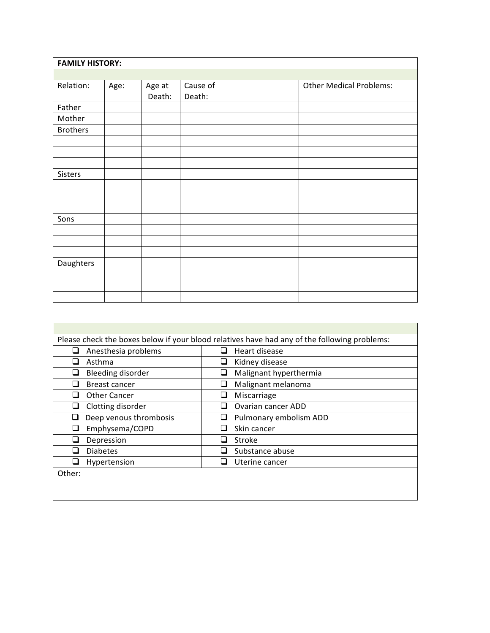| <b>FAMILY HISTORY:</b> |      |                  |                    |                                |  |  |
|------------------------|------|------------------|--------------------|--------------------------------|--|--|
|                        |      |                  |                    |                                |  |  |
| Relation:              | Age: | Age at<br>Death: | Cause of<br>Death: | <b>Other Medical Problems:</b> |  |  |
| Father                 |      |                  |                    |                                |  |  |
| Mother                 |      |                  |                    |                                |  |  |
| <b>Brothers</b>        |      |                  |                    |                                |  |  |
|                        |      |                  |                    |                                |  |  |
|                        |      |                  |                    |                                |  |  |
|                        |      |                  |                    |                                |  |  |
| Sisters                |      |                  |                    |                                |  |  |
|                        |      |                  |                    |                                |  |  |
|                        |      |                  |                    |                                |  |  |
|                        |      |                  |                    |                                |  |  |
| Sons                   |      |                  |                    |                                |  |  |
|                        |      |                  |                    |                                |  |  |
|                        |      |                  |                    |                                |  |  |
|                        |      |                  |                    |                                |  |  |
| Daughters              |      |                  |                    |                                |  |  |
|                        |      |                  |                    |                                |  |  |
|                        |      |                  |                    |                                |  |  |
|                        |      |                  |                    |                                |  |  |

| Please check the boxes below if your blood relatives have had any of the following problems: |                                 |  |  |  |  |
|----------------------------------------------------------------------------------------------|---------------------------------|--|--|--|--|
| Anesthesia problems                                                                          | Heart disease<br>ப              |  |  |  |  |
| Asthma                                                                                       | Kidney disease<br>⊔             |  |  |  |  |
| Bleeding disorder                                                                            | Malignant hyperthermia          |  |  |  |  |
| Breast cancer                                                                                | Malignant melanoma<br>⊔         |  |  |  |  |
| Other Cancer                                                                                 | Miscarriage<br>⊔                |  |  |  |  |
| Clotting disorder                                                                            | <b>Ovarian cancer ADD</b><br>×. |  |  |  |  |
| Deep venous thrombosis                                                                       | Pulmonary embolism ADD          |  |  |  |  |
| Emphysema/COPD                                                                               | Skin cancer                     |  |  |  |  |
| Depression                                                                                   | Stroke<br>ப                     |  |  |  |  |
| <b>Diabetes</b>                                                                              | Substance abuse                 |  |  |  |  |
| Hypertension                                                                                 | Uterine cancer<br>$\sim$        |  |  |  |  |
| Other:                                                                                       |                                 |  |  |  |  |
|                                                                                              |                                 |  |  |  |  |
|                                                                                              |                                 |  |  |  |  |

 $\mathbf{r}$ 

<u> 1989 - Johann Stoff, deutscher Stoff, der Stoff, der Stoff, der Stoff, der Stoff, der Stoff, der Stoff, der S</u>

 $\overline{\phantom{0}}$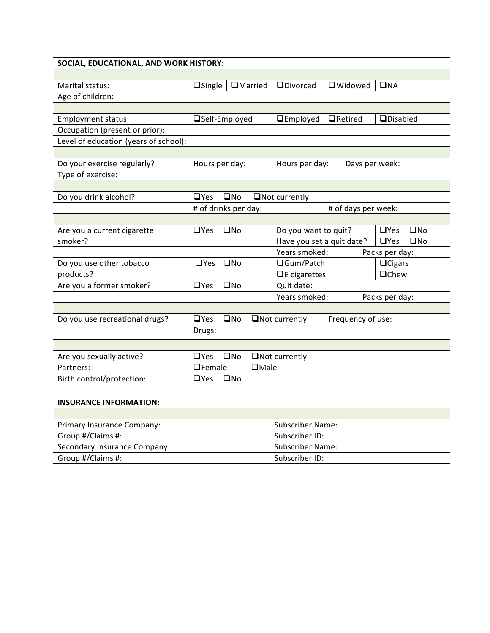| SOCIAL, EDUCATIONAL, AND WORK HISTORY: |                      |              |                 |                           |                     |                            |
|----------------------------------------|----------------------|--------------|-----------------|---------------------------|---------------------|----------------------------|
|                                        |                      |              |                 |                           |                     |                            |
| Marital status:                        | $\Box$ Single        |              | <b>OMarried</b> | <b>ODivorced</b>          | <b>OWidowed</b>     | $\square$ <sub>NA</sub>    |
| Age of children:                       |                      |              |                 |                           |                     |                            |
|                                        |                      |              |                 |                           |                     |                            |
| Employment status:                     | □Self-Employed       |              |                 | $\Box$ Employed           | $\Box$ Retired      | $\Box$ Disabled            |
| Occupation (present or prior):         |                      |              |                 |                           |                     |                            |
| Level of education (years of school):  |                      |              |                 |                           |                     |                            |
|                                        |                      |              |                 |                           |                     |                            |
| Do your exercise regularly?            | Hours per day:       |              |                 | Hours per day:            |                     | Days per week:             |
| Type of exercise:                      |                      |              |                 |                           |                     |                            |
|                                        |                      |              |                 |                           |                     |                            |
| Do you drink alcohol?                  | $\Box$ Yes           | $\square$ No |                 | $\Box$ Not currently      |                     |                            |
|                                        | # of drinks per day: |              |                 |                           | # of days per week: |                            |
|                                        |                      |              |                 |                           |                     |                            |
| Are you a current cigarette            | $\Box$ Yes           | $\square$ No |                 | Do you want to quit?      |                     | $\square$ No<br>$\Box$ Yes |
| smoker?                                |                      |              |                 | Have you set a quit date? |                     | $\square$ No<br>$\Box$ Yes |
|                                        |                      |              |                 | Years smoked:             |                     | Packs per day:             |
| Do you use other tobacco               | □Yes □No             |              |                 | □Gum/Patch                |                     | $\Box$ Cigars              |
| products?                              |                      |              |                 | $\Box$ E cigarettes       |                     | <b>O</b> Chew              |
| Are you a former smoker?               | $\Box$ Yes           | $\square$ No |                 | Quit date:                |                     |                            |
|                                        |                      |              |                 | Years smoked:             |                     | Packs per day:             |
|                                        |                      |              |                 |                           |                     |                            |
| Do you use recreational drugs?         | $\Box$ Yes           | $\square$ No |                 | $\Box$ Not currently      | Frequency of use:   |                            |
|                                        | Drugs:               |              |                 |                           |                     |                            |
|                                        |                      |              |                 |                           |                     |                            |
| Are you sexually active?               | $\Box$ Yes           | $\square$ No |                 | $\Box$ Not currently      |                     |                            |
| Partners:                              | $\Box$ Female        |              | $\square$ Male  |                           |                     |                            |
| Birth control/protection:              | $\Box$ Yes           | $\square$ No |                 |                           |                     |                            |

| <b>INSURANCE INFORMATION:</b> |                         |  |  |  |
|-------------------------------|-------------------------|--|--|--|
|                               |                         |  |  |  |
| Primary Insurance Company:    | <b>Subscriber Name:</b> |  |  |  |
| Group #/Claims #:             | Subscriber ID:          |  |  |  |
| Secondary Insurance Company:  | <b>Subscriber Name:</b> |  |  |  |
| Group #/Claims #:             | Subscriber ID:          |  |  |  |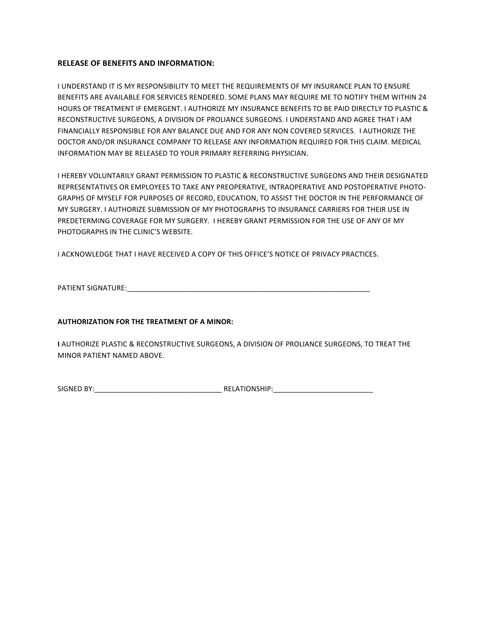## **RELEASE OF BENEFITS AND INFORMATION:**

I UNDERSTAND IT IS MY RESPONSIBILITY TO MEET THE REQUIREMENTS OF MY INSURANCE PLAN TO ENSURE BENEFITS ARE AVAILABLE FOR SERVICES RENDERED. SOME PLANS MAY REQUIRE ME TO NOTIFY THEM WITHIN 24 HOURS OF TREATMENT IF EMERGENT. I AUTHORIZE MY INSURANCE BENEFITS TO BE PAID DIRECTLY TO PLASTIC & RECONSTRUCTIVE SURGEONS, A DIVISION OF PROLIANCE SURGEONS. I UNDERSTAND AND AGREE THAT I AM FINANCIALLY RESPONSIBLE FOR ANY BALANCE DUE AND FOR ANY NON COVERED SERVICES. I AUTHORIZE THE DOCTOR AND/OR INSURANCE COMPANY TO RELEASE ANY INFORMATION REQUIRED FOR THIS CLAIM. MEDICAL INFORMATION MAY BE RELEASED TO YOUR PRIMARY REFERRING PHYSICIAN.

I HEREBY VOLUNTARILY GRANT PERMISSION TO PLASTIC & RECONSTRUCTIVE SURGEONS AND THEIR DESIGNATED REPRESENTATIVES OR EMPLOYEES TO TAKE ANY PREOPERATIVE, INTRAOPERATIVE AND POSTOPERATIVE PHOTO-GRAPHS OF MYSELF FOR PURPOSES OF RECORD, EDUCATION, TO ASSIST THE DOCTOR IN THE PERFORMANCE OF MY SURGERY. I AUTHORIZE SUBMISSION OF MY PHOTOGRAPHS TO INSURANCE CARRIERS FOR THEIR USE IN PREDETERMING COVERAGE FOR MY SURGERY. I HEREBY GRANT PERMISSION FOR THE USE OF ANY OF MY PHOTOGRAPHS IN THE CLINIC'S WEBSITE.

I ACKNOWLEDGE THAT I HAVE RECEIVED A COPY OF THIS OFFICE'S NOTICE OF PRIVACY PRACTICES.

PATIENT SIGNATURE:\_\_\_\_\_\_\_\_\_\_\_\_\_\_\_\_\_\_\_\_\_\_\_\_\_\_\_\_\_\_\_\_\_\_\_\_\_\_\_\_\_\_\_\_\_\_\_\_\_\_\_\_\_\_\_\_\_\_\_\_\_

## **AUTHORIZATION FOR THE TREATMENT OF A MINOR:**

**I AUTHORIZE PLASTIC & RECONSTRUCTIVE SURGEONS, A DIVISION OF PROLIANCE SURGEONS, TO TREAT THE** MINOR PATIENT NAMED ABOVE.

SIGNED BY:\_\_\_\_\_\_\_\_\_\_\_\_\_\_\_\_\_\_\_\_\_\_\_\_\_\_\_\_\_\_\_\_ RELATIONSHIP:\_\_\_\_\_\_\_\_\_\_\_\_\_\_\_\_\_\_\_\_\_\_\_\_\_